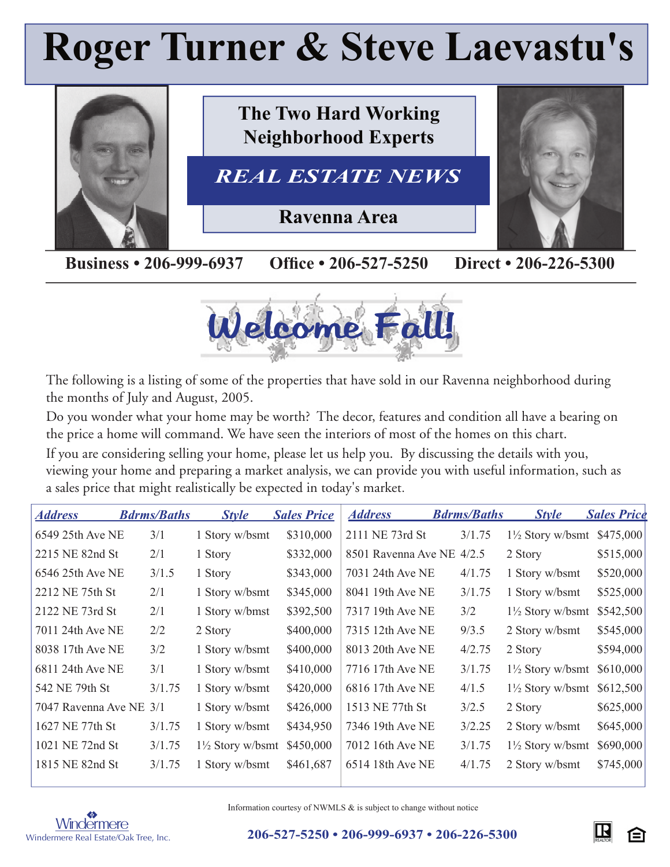# **Roger Turner & Steve Laevastu's**



**Business • 206-999-6937 Office • 206-527-5250 Direct • 206-226-5300** 



The following is a listing of some of the properties that have sold in our Ravenna neighborhood during the months of July and August, 2005.

Do you wonder what your home may be worth? The decor, features and condition all have a bearing on the price a home will command. We have seen the interiors of most of the homes on this chart.

If you are considering selling your home, please let us help you. By discussing the details with you, viewing your home and preparing a market analysis, we can provide you with useful information, such as a sales price that might realistically be expected in today's market.

| <b>Address</b>          | <b>Bdrms/Baths</b> | <b>Style</b>                | <b>Sales Price</b> | <b>Address</b>            | <b>Bdrms/Baths</b> | <b>Style</b>                | <b>Sales Price</b> |
|-------------------------|--------------------|-----------------------------|--------------------|---------------------------|--------------------|-----------------------------|--------------------|
| 6549 25th Ave NE        | 3/1                | 1 Story w/bsmt              | \$310,000          | 2111 NE 73rd St           | 3/1.75             | $1\frac{1}{2}$ Story w/bsmt | \$475,000          |
| 2215 NE 82nd St         | 2/1                | 1 Story                     | \$332,000          | 8501 Ravenna Ave NE 4/2.5 |                    | 2 Story                     | \$515,000          |
| 6546 25th Ave NE        | 3/1.5              | 1 Story                     | \$343,000          | 7031 24th Ave NE          | 4/1.75             | 1 Story w/bsmt              | \$520,000          |
| 2212 NE 75th St         | 2/1                | 1 Story w/bsmt              | \$345,000          | 8041 19th Ave NE          | 3/1.75             | 1 Story w/bsmt              | \$525,000          |
| 2122 NE 73rd St         | 2/1                | 1 Story w/bmst              | \$392,500          | 7317 19th Ave NE          | 3/2                | $1\frac{1}{2}$ Story w/bsmt | \$542,500          |
| 7011 24th Ave NE        | 2/2                | 2 Story                     | \$400,000          | 7315 12th Ave NE          | 9/3.5              | 2 Story w/bsmt              | \$545,000          |
| 8038 17th Ave NE        | 3/2                | 1 Story w/bsmt              | \$400,000          | 8013 20th Ave NE          | 4/2.75             | 2 Story                     | \$594,000          |
| 6811 24th Ave NE        | 3/1                | 1 Story w/bsmt              | \$410,000          | 7716 17th Ave NE          | 3/1.75             | $1\frac{1}{2}$ Story w/bsmt | \$610,000          |
| 542 NE 79th St          | 3/1.75             | 1 Story w/bsmt              | \$420,000          | 6816 17th Ave NE          | 4/1.5              | $1\frac{1}{2}$ Story w/bsmt | \$612,500          |
| 7047 Ravenna Ave NE 3/1 |                    | 1 Story w/bsmt              | \$426,000          | 1513 NE 77th St           | 3/2.5              | 2 Story                     | \$625,000          |
| 1627 NE 77th St         | 3/1.75             | 1 Story w/bsmt              | \$434,950          | 7346 19th Ave NE          | 3/2.25             | 2 Story w/bsmt              | \$645,000          |
| 1021 NE 72nd St         | 3/1.75             | $1\frac{1}{2}$ Story w/bsmt | \$450,000          | 7012 16th Ave NE          | 3/1.75             | $1\frac{1}{2}$ Story w/bsmt | \$690,000          |
| 1815 NE 82nd St         | 3/1.75             | 1 Story w/bsmt              | \$461,687          | 6514 18th Ave NE          | 4/1.75             | 2 Story w/bsmt              | \$745,000          |



Information courtesy of NWMLS & is subject to change without notice